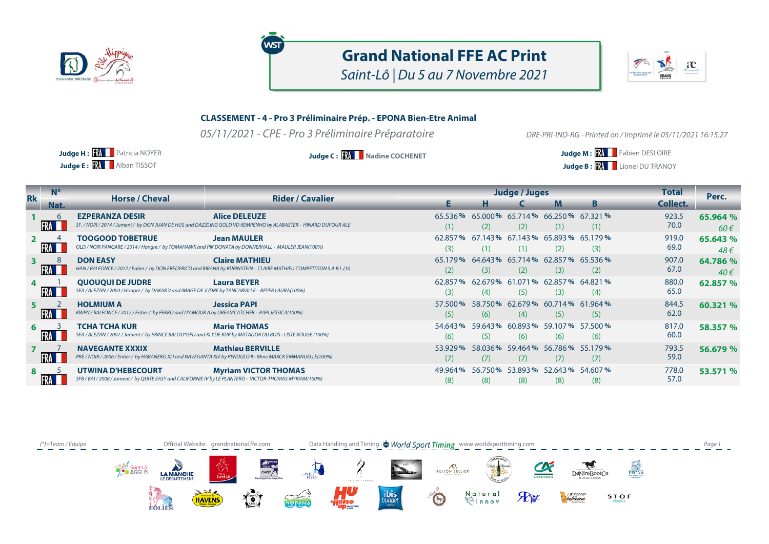

## **Grand National FFE AC Print** Saint-Lô | Du 5 au 7 Novembre 2021



## **CLASSEMENT - 4 - Pro 3 Préliminaire Prép. - EPONA Bien-Etre Animal**

05/11/2021 - CPE - Pro 3 Préliminaire Préparatoire

**WST** 

DRE-PRI-IND-RG - Printed on / Imprimé le 05/11/2021 16:15:27

**Judge E: XX** Alban TISSOT **Judge H: RA** Patricia NOYER

**Judge C: XX** | Nadine COCHENET **All and All and All and All and All and All and All and All and All and All and All and All and All and All and All and All and All and All and All and All and All and All and All and All Judge B: RA** Lionel DU TRANOY

| <b>Rk</b> | $N^{\circ}$ | <b>Horse / Cheval</b>                                                                                                                | <b>Rider / Cavalier</b>                                                                                                                       |                 | <b>Judge / Juges</b>                                |                                        |     |     |               | Perc.                |
|-----------|-------------|--------------------------------------------------------------------------------------------------------------------------------------|-----------------------------------------------------------------------------------------------------------------------------------------------|-----------------|-----------------------------------------------------|----------------------------------------|-----|-----|---------------|----------------------|
|           | Nat.        |                                                                                                                                      |                                                                                                                                               |                 |                                                     |                                        | M   | B.  | Collect.      |                      |
|           | $\sqrt{2}$  | <b>EZPERANZA DESIR</b>                                                                                                               | <b>Alice DELEUZE</b><br>SF. / NOIR / 2014 / Jument / by DON JUAN DE HUS and DAZZLING GOLD VD KEMPENHO by ALABASTER - HINARD DUFOUR ALE        | 65.536%<br>(1)  | (2)                                                 | 65.000% 65.714% 66.250% 67.321%<br>(2) | (1) | (1) | 923.5<br>70.0 | 65.964 %<br>$60 \in$ |
|           |             | <b>TOOGOOD TOBETRUE</b><br>OLD / NOIR PANGARE / 2014 / Hongre / by TOMAHAWK and PIK DONATA by DONNERHALL - MAULER JEAN(100%)         | <b>Jean MAULER</b>                                                                                                                            | 62.857%<br>(3)  | (1)                                                 | 67.143% 67.143% 65.893% 65.179%        | (2) | (3) | 919.0<br>69.0 | 65.643%<br>48€       |
|           | 8           | <b>DON EASY</b>                                                                                                                      | <b>Claire MATHIEU</b><br>HAN / BAI FONCE / 2012 / Entier / by DON FREDERICO and RIBANA by RUBINSTEIN - CLAIRE MATHIEU COMPETITION S.A.R.L.(10 | 65.179%<br>(2)  | 64.643% 65.714% 62.857% 65.536%<br>(3)              | (2)                                    | (3) | (2) | 907.0<br>67.0 | 64.786 %<br>$40 \in$ |
|           |             | <b>QUOUQUI DE JUDRE</b><br>SFA / ALEZAN / 2004 / Hongre / by DAKAR V and IMAGE DE JUDRE by TANCARVILLE - BEYER LAURA(100%)           | <b>Laura BEYER</b>                                                                                                                            | (3)             | 62.857% 62.679% 61.071% 62.857% 64.821%<br>(4)      | (5)                                    | (3) | (4) | 880.0<br>65.0 | 62.857 %             |
|           |             | <b>HOLMIUM A</b><br>KWPN / BAI FONCE / 2012 / Entier / by FERRO and D'AMOUR A by DREAMCATCHER - PAPI JESSICA(100%)                   | <b>Jessica PAPI</b>                                                                                                                           | (5)             | 57.500 % 58.750 % 62.679 % 60.714 % 61.964 %<br>(6) | (4)                                    | (5) | (5) | 844.5<br>62.0 | 60.321 %             |
|           |             | <b>TCHA TCHA KUR</b><br>SFA / ALEZAN / 2007 / Jument / by PRINCE BALOU*GFD and KLYDE KUR by MATADOR DU BOIS - LISTE ROUGE (100%)     | <b>Marie THOMAS</b>                                                                                                                           | 54.643%<br>(6)  | 59.643% 60.893% 59.107% 57.500%<br>(5)              | (6)                                    | (6) | (6) | 817.0<br>60.0 | 58.357 %             |
|           | <b>IFRA</b> | <b>NAVEGANTE XXXIX</b><br>PRE / NOIR / 2006 / Entier / by HABANERO XLI and NAVEGANTA XIV by PENDULO II - Mme MARCK EMMANUELLE(100%)  | <b>Mathieu BERVILLE</b>                                                                                                                       | 53.929%<br>(7)  | (7)                                                 | 58.036% 59.464% 56.786% 55.179%<br>(7) | (7) | (7) | 793.5<br>59.0 | 56.679 %             |
|           |             | <b>UTWINA D'HEBECOURT</b><br>SFB / BAI / 2008 / Jument / by QUITE EASY and CALIFORNIE IV by LE PLANTERO - VICTOR-THOMAS MYRIAM(100%) | <b>Myriam VICTOR THOMAS</b>                                                                                                                   | 49.964 %<br>(8) | (8)                                                 | 56.750% 53.893% 52.643% 54.607%<br>(8) | (8) | (8) | 778.0<br>57.0 | 53.571 %             |